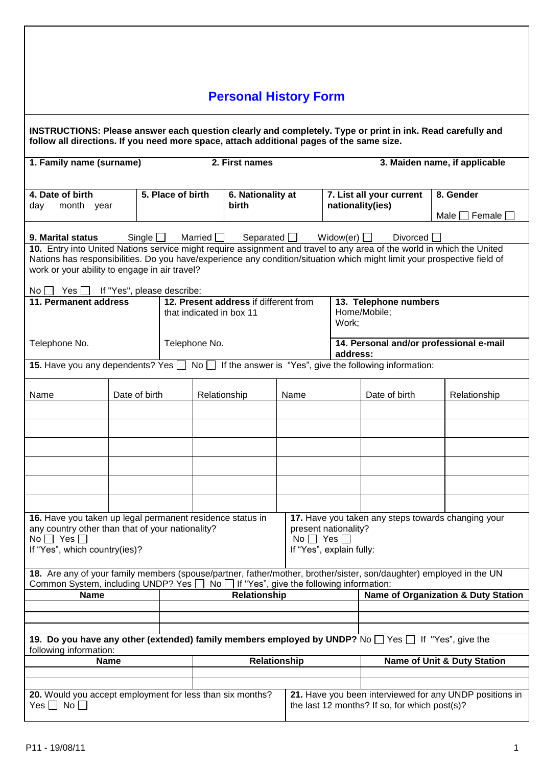|                                                                                                                                                                                                                                                    |               |               |                   |                | <b>Personal History Form</b>                                      |      |                                                     |  |                                                  |                                               |                                                         |
|----------------------------------------------------------------------------------------------------------------------------------------------------------------------------------------------------------------------------------------------------|---------------|---------------|-------------------|----------------|-------------------------------------------------------------------|------|-----------------------------------------------------|--|--------------------------------------------------|-----------------------------------------------|---------------------------------------------------------|
| INSTRUCTIONS: Please answer each question clearly and completely. Type or print in ink. Read carefully and<br>follow all directions. If you need more space, attach additional pages of the same size.                                             |               |               |                   |                |                                                                   |      |                                                     |  |                                                  |                                               |                                                         |
| 1. Family name (surname)                                                                                                                                                                                                                           |               |               |                   |                | 2. First names                                                    |      |                                                     |  |                                                  |                                               | 3. Maiden name, if applicable                           |
| 4. Date of birth<br>day<br>month year                                                                                                                                                                                                              |               |               | 5. Place of birth |                | 6. Nationality at<br><b>birth</b>                                 |      |                                                     |  | nationality(ies)                                 | 7. List all your current                      | 8. Gender                                               |
|                                                                                                                                                                                                                                                    |               |               |                   |                |                                                                   |      |                                                     |  |                                                  |                                               | Male $\Box$ Female $\Box$                               |
| 9. Marital status                                                                                                                                                                                                                                  |               | Single $\Box$ |                   | Married $\Box$ | Separated $\Box$                                                  |      |                                                     |  | Widow(er) $\Box$                                 | Divorced                                      |                                                         |
| 10. Entry into United Nations service might require assignment and travel to any area of the world in which the United<br>Nations has responsibilities. Do you have/experience any condition/situation which might limit your prospective field of |               |               |                   |                |                                                                   |      |                                                     |  |                                                  |                                               |                                                         |
| work or your ability to engage in air travel?                                                                                                                                                                                                      |               |               |                   |                |                                                                   |      |                                                     |  |                                                  |                                               |                                                         |
| $No \cup Yes \cup If "Yes", please describe:$<br>11. Permanent address                                                                                                                                                                             |               |               |                   |                | 12. Present address if different from<br>that indicated in box 11 |      |                                                     |  | Home/Mobile;<br>Work;                            | 13. Telephone numbers                         |                                                         |
| Telephone No.                                                                                                                                                                                                                                      |               |               |                   | Telephone No.  |                                                                   |      | 14. Personal and/or professional e-mail<br>address: |  |                                                  |                                               |                                                         |
| <b>15.</b> Have you any dependents? Yes $\Box$ No $\Box$ If the answer is "Yes", give the following information:                                                                                                                                   |               |               |                   |                |                                                                   |      |                                                     |  |                                                  |                                               |                                                         |
| Name                                                                                                                                                                                                                                               | Date of birth |               |                   |                | Relationship                                                      | Name |                                                     |  |                                                  | Date of birth                                 | Relationship                                            |
|                                                                                                                                                                                                                                                    |               |               |                   |                |                                                                   |      |                                                     |  |                                                  |                                               |                                                         |
|                                                                                                                                                                                                                                                    |               |               |                   |                |                                                                   |      |                                                     |  |                                                  |                                               |                                                         |
|                                                                                                                                                                                                                                                    |               |               |                   |                |                                                                   |      |                                                     |  |                                                  |                                               |                                                         |
|                                                                                                                                                                                                                                                    |               |               |                   |                |                                                                   |      |                                                     |  |                                                  |                                               |                                                         |
|                                                                                                                                                                                                                                                    |               |               |                   |                |                                                                   |      |                                                     |  |                                                  |                                               |                                                         |
| 16. Have you taken up legal permanent residence status in<br>any country other than that of your nationality?<br>No $\Box$ Yes $\Box$<br>If "Yes", which country(ies)?                                                                             |               |               |                   |                |                                                                   |      | No $\Box$ Yes $\Box$                                |  | present nationality?<br>If "Yes", explain fully: |                                               | 17. Have you taken any steps towards changing your      |
| 18. Are any of your family members (spouse/partner, father/mother, brother/sister, son/daughter) employed in the UN<br>Common System, including UNDP? Yes                                                                                          |               |               |                   |                | $No$ If "Yes", give the following information:                    |      |                                                     |  |                                                  |                                               |                                                         |
| <b>Name</b>                                                                                                                                                                                                                                        |               |               | Relationship      |                |                                                                   |      |                                                     |  | <b>Name of Organization &amp; Duty Station</b>   |                                               |                                                         |
|                                                                                                                                                                                                                                                    |               |               |                   |                |                                                                   |      |                                                     |  |                                                  |                                               |                                                         |
| 19. Do you have any other (extended) family members employed by UNDP? No $\Box$ Yes $\Box$ If "Yes", give the                                                                                                                                      |               |               |                   |                |                                                                   |      |                                                     |  |                                                  |                                               |                                                         |
| following information:                                                                                                                                                                                                                             | <b>Name</b>   |               |                   |                | Relationship                                                      |      |                                                     |  |                                                  |                                               | <b>Name of Unit &amp; Duty Station</b>                  |
|                                                                                                                                                                                                                                                    |               |               |                   |                |                                                                   |      |                                                     |  |                                                  |                                               |                                                         |
| 20. Would you accept employment for less than six months?<br>Yes $\Box$ No $\Box$                                                                                                                                                                  |               |               |                   |                |                                                                   |      |                                                     |  |                                                  | the last 12 months? If so, for which post(s)? | 21. Have you been interviewed for any UNDP positions in |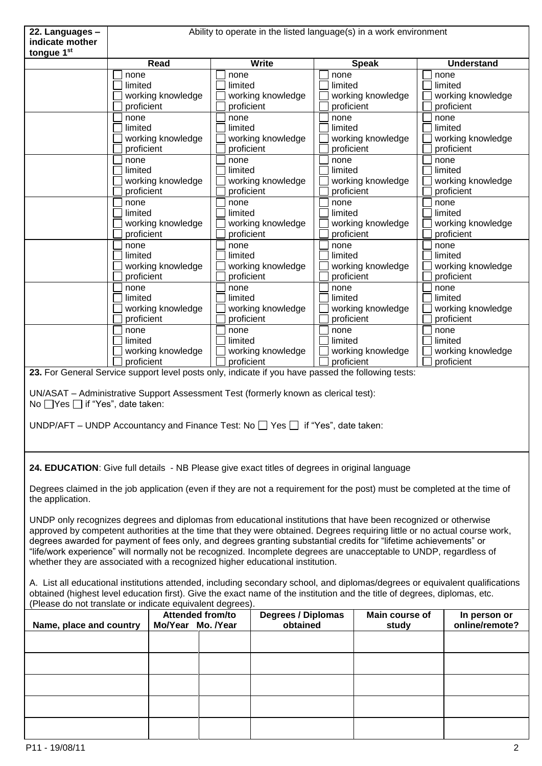| 22. Languages -                                                                                                                                                                                                                                                                                                                                                                                                                                                                                                                                                         | Ability to operate in the listed language(s) in a work environment                                                                                                                                                            |                                       |                                                                                                                  |                                 |  |  |  |
|-------------------------------------------------------------------------------------------------------------------------------------------------------------------------------------------------------------------------------------------------------------------------------------------------------------------------------------------------------------------------------------------------------------------------------------------------------------------------------------------------------------------------------------------------------------------------|-------------------------------------------------------------------------------------------------------------------------------------------------------------------------------------------------------------------------------|---------------------------------------|------------------------------------------------------------------------------------------------------------------|---------------------------------|--|--|--|
| indicate mother                                                                                                                                                                                                                                                                                                                                                                                                                                                                                                                                                         |                                                                                                                                                                                                                               |                                       |                                                                                                                  |                                 |  |  |  |
| tongue 1st                                                                                                                                                                                                                                                                                                                                                                                                                                                                                                                                                              | Read                                                                                                                                                                                                                          | <b>Write</b>                          |                                                                                                                  | <b>Understand</b>               |  |  |  |
|                                                                                                                                                                                                                                                                                                                                                                                                                                                                                                                                                                         | none                                                                                                                                                                                                                          | none                                  | <b>Speak</b><br>none                                                                                             | none                            |  |  |  |
|                                                                                                                                                                                                                                                                                                                                                                                                                                                                                                                                                                         | limited                                                                                                                                                                                                                       | limited                               | limited                                                                                                          | limited                         |  |  |  |
|                                                                                                                                                                                                                                                                                                                                                                                                                                                                                                                                                                         | working knowledge                                                                                                                                                                                                             | working knowledge                     | working knowledge                                                                                                | working knowledge               |  |  |  |
|                                                                                                                                                                                                                                                                                                                                                                                                                                                                                                                                                                         | proficient                                                                                                                                                                                                                    | proficient                            | proficient                                                                                                       | proficient                      |  |  |  |
|                                                                                                                                                                                                                                                                                                                                                                                                                                                                                                                                                                         | none                                                                                                                                                                                                                          | none                                  | none                                                                                                             | none                            |  |  |  |
|                                                                                                                                                                                                                                                                                                                                                                                                                                                                                                                                                                         | limited                                                                                                                                                                                                                       | limited                               | limited                                                                                                          | limited                         |  |  |  |
|                                                                                                                                                                                                                                                                                                                                                                                                                                                                                                                                                                         | working knowledge<br>proficient                                                                                                                                                                                               | working knowledge<br>proficient       | working knowledge<br>proficient                                                                                  | working knowledge<br>proficient |  |  |  |
|                                                                                                                                                                                                                                                                                                                                                                                                                                                                                                                                                                         | none                                                                                                                                                                                                                          | none                                  | none                                                                                                             | none                            |  |  |  |
|                                                                                                                                                                                                                                                                                                                                                                                                                                                                                                                                                                         | limited                                                                                                                                                                                                                       | limited                               | limited                                                                                                          | limited                         |  |  |  |
|                                                                                                                                                                                                                                                                                                                                                                                                                                                                                                                                                                         | working knowledge                                                                                                                                                                                                             | working knowledge                     | working knowledge                                                                                                | working knowledge               |  |  |  |
|                                                                                                                                                                                                                                                                                                                                                                                                                                                                                                                                                                         | proficient                                                                                                                                                                                                                    | proficient                            | proficient                                                                                                       | proficient                      |  |  |  |
|                                                                                                                                                                                                                                                                                                                                                                                                                                                                                                                                                                         | none                                                                                                                                                                                                                          | none                                  | none                                                                                                             | none                            |  |  |  |
|                                                                                                                                                                                                                                                                                                                                                                                                                                                                                                                                                                         | limited<br>working knowledge                                                                                                                                                                                                  | limited<br>working knowledge          | limited<br>working knowledge                                                                                     | limited<br>working knowledge    |  |  |  |
|                                                                                                                                                                                                                                                                                                                                                                                                                                                                                                                                                                         | proficient                                                                                                                                                                                                                    | proficient                            | proficient                                                                                                       | proficient                      |  |  |  |
|                                                                                                                                                                                                                                                                                                                                                                                                                                                                                                                                                                         | none                                                                                                                                                                                                                          | none                                  | none                                                                                                             | none                            |  |  |  |
|                                                                                                                                                                                                                                                                                                                                                                                                                                                                                                                                                                         | limited                                                                                                                                                                                                                       | limited                               | limited                                                                                                          | limited                         |  |  |  |
|                                                                                                                                                                                                                                                                                                                                                                                                                                                                                                                                                                         | working knowledge                                                                                                                                                                                                             | working knowledge                     | working knowledge                                                                                                | working knowledge               |  |  |  |
|                                                                                                                                                                                                                                                                                                                                                                                                                                                                                                                                                                         | proficient                                                                                                                                                                                                                    | proficient                            | proficient                                                                                                       | proficient                      |  |  |  |
|                                                                                                                                                                                                                                                                                                                                                                                                                                                                                                                                                                         | none                                                                                                                                                                                                                          | none<br>limited                       | none                                                                                                             | none                            |  |  |  |
|                                                                                                                                                                                                                                                                                                                                                                                                                                                                                                                                                                         | limited<br>working knowledge                                                                                                                                                                                                  | working knowledge                     | limited<br>working knowledge                                                                                     | limited<br>working knowledge    |  |  |  |
|                                                                                                                                                                                                                                                                                                                                                                                                                                                                                                                                                                         | proficient                                                                                                                                                                                                                    | proficient                            | proficient                                                                                                       | proficient                      |  |  |  |
|                                                                                                                                                                                                                                                                                                                                                                                                                                                                                                                                                                         | none                                                                                                                                                                                                                          | none                                  | none                                                                                                             | none                            |  |  |  |
|                                                                                                                                                                                                                                                                                                                                                                                                                                                                                                                                                                         | limited                                                                                                                                                                                                                       | limited                               | limited                                                                                                          | limited                         |  |  |  |
|                                                                                                                                                                                                                                                                                                                                                                                                                                                                                                                                                                         | working knowledge                                                                                                                                                                                                             | working knowledge                     | working knowledge                                                                                                | working knowledge               |  |  |  |
|                                                                                                                                                                                                                                                                                                                                                                                                                                                                                                                                                                         | proficient                                                                                                                                                                                                                    | proficient                            | proficient<br>23. For General Service support level posts only, indicate if you have passed the following tests: | proficient                      |  |  |  |
|                                                                                                                                                                                                                                                                                                                                                                                                                                                                                                                                                                         | UN/ASAT - Administrative Support Assessment Test (formerly known as clerical test):<br>No $\Box$ Yes $\Box$ if "Yes", date taken:<br>UNDP/AFT – UNDP Accountancy and Finance Test: No $\Box$ Yes $\Box$ if "Yes", date taken: |                                       |                                                                                                                  |                                 |  |  |  |
|                                                                                                                                                                                                                                                                                                                                                                                                                                                                                                                                                                         | 24. EDUCATION: Give full details - NB Please give exact titles of degrees in original language                                                                                                                                |                                       |                                                                                                                  |                                 |  |  |  |
| Degrees claimed in the job application (even if they are not a requirement for the post) must be completed at the time of<br>the application.                                                                                                                                                                                                                                                                                                                                                                                                                           |                                                                                                                                                                                                                               |                                       |                                                                                                                  |                                 |  |  |  |
| UNDP only recognizes degrees and diplomas from educational institutions that have been recognized or otherwise<br>approved by competent authorities at the time that they were obtained. Degrees requiring little or no actual course work,<br>degrees awarded for payment of fees only, and degrees granting substantial credits for "lifetime achievements" or<br>"life/work experience" will normally not be recognized. Incomplete degrees are unacceptable to UNDP, regardless of<br>whether they are associated with a recognized higher educational institution. |                                                                                                                                                                                                                               |                                       |                                                                                                                  |                                 |  |  |  |
| A. List all educational institutions attended, including secondary school, and diplomas/degrees or equivalent qualifications<br>obtained (highest level education first). Give the exact name of the institution and the title of degrees, diplomas, etc.<br>(Please do not translate or indicate equivalent degrees).                                                                                                                                                                                                                                                  |                                                                                                                                                                                                                               |                                       |                                                                                                                  |                                 |  |  |  |
|                                                                                                                                                                                                                                                                                                                                                                                                                                                                                                                                                                         | Attended from/to                                                                                                                                                                                                              | <b>Degrees / Diplomas</b><br>obtained | Main course of                                                                                                   | In person or<br>online/remote?  |  |  |  |
| Name, place and country                                                                                                                                                                                                                                                                                                                                                                                                                                                                                                                                                 | Mo/Year Mo. /Year                                                                                                                                                                                                             |                                       | study                                                                                                            |                                 |  |  |  |
|                                                                                                                                                                                                                                                                                                                                                                                                                                                                                                                                                                         |                                                                                                                                                                                                                               |                                       |                                                                                                                  |                                 |  |  |  |
|                                                                                                                                                                                                                                                                                                                                                                                                                                                                                                                                                                         |                                                                                                                                                                                                                               |                                       |                                                                                                                  |                                 |  |  |  |
|                                                                                                                                                                                                                                                                                                                                                                                                                                                                                                                                                                         |                                                                                                                                                                                                                               |                                       |                                                                                                                  |                                 |  |  |  |
|                                                                                                                                                                                                                                                                                                                                                                                                                                                                                                                                                                         |                                                                                                                                                                                                                               |                                       |                                                                                                                  |                                 |  |  |  |
|                                                                                                                                                                                                                                                                                                                                                                                                                                                                                                                                                                         |                                                                                                                                                                                                                               |                                       |                                                                                                                  |                                 |  |  |  |
|                                                                                                                                                                                                                                                                                                                                                                                                                                                                                                                                                                         |                                                                                                                                                                                                                               |                                       |                                                                                                                  |                                 |  |  |  |
| P11 - 19/08/11                                                                                                                                                                                                                                                                                                                                                                                                                                                                                                                                                          |                                                                                                                                                                                                                               |                                       |                                                                                                                  | 2                               |  |  |  |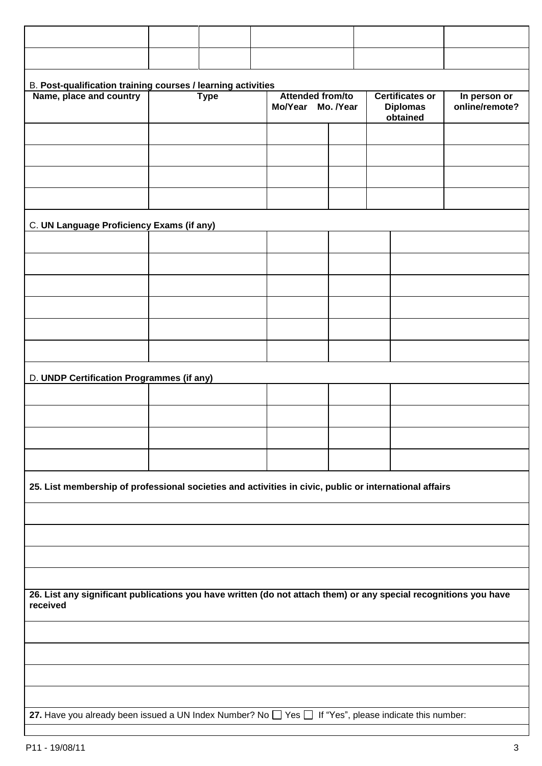| B. Post-qualification training courses / learning activities                                                                 |  |             |  |                                              |  |  |                                                       |                                |
|------------------------------------------------------------------------------------------------------------------------------|--|-------------|--|----------------------------------------------|--|--|-------------------------------------------------------|--------------------------------|
| Name, place and country                                                                                                      |  | <b>Type</b> |  | <b>Attended from/to</b><br>Mo/Year Mo. /Year |  |  | <b>Certificates or</b><br><b>Diplomas</b><br>obtained | In person or<br>online/remote? |
|                                                                                                                              |  |             |  |                                              |  |  |                                                       |                                |
|                                                                                                                              |  |             |  |                                              |  |  |                                                       |                                |
|                                                                                                                              |  |             |  |                                              |  |  |                                                       |                                |
|                                                                                                                              |  |             |  |                                              |  |  |                                                       |                                |
| C. UN Language Proficiency Exams (if any)                                                                                    |  |             |  |                                              |  |  |                                                       |                                |
|                                                                                                                              |  |             |  |                                              |  |  |                                                       |                                |
|                                                                                                                              |  |             |  |                                              |  |  |                                                       |                                |
|                                                                                                                              |  |             |  |                                              |  |  |                                                       |                                |
|                                                                                                                              |  |             |  |                                              |  |  |                                                       |                                |
|                                                                                                                              |  |             |  |                                              |  |  |                                                       |                                |
|                                                                                                                              |  |             |  |                                              |  |  |                                                       |                                |
| D. UNDP Certification Programmes (if any)                                                                                    |  |             |  |                                              |  |  |                                                       |                                |
|                                                                                                                              |  |             |  |                                              |  |  |                                                       |                                |
|                                                                                                                              |  |             |  |                                              |  |  |                                                       |                                |
|                                                                                                                              |  |             |  |                                              |  |  |                                                       |                                |
|                                                                                                                              |  |             |  |                                              |  |  |                                                       |                                |
| 25. List membership of professional societies and activities in civic, public or international affairs                       |  |             |  |                                              |  |  |                                                       |                                |
|                                                                                                                              |  |             |  |                                              |  |  |                                                       |                                |
|                                                                                                                              |  |             |  |                                              |  |  |                                                       |                                |
|                                                                                                                              |  |             |  |                                              |  |  |                                                       |                                |
|                                                                                                                              |  |             |  |                                              |  |  |                                                       |                                |
| 26. List any significant publications you have written (do not attach them) or any special recognitions you have<br>received |  |             |  |                                              |  |  |                                                       |                                |
|                                                                                                                              |  |             |  |                                              |  |  |                                                       |                                |
|                                                                                                                              |  |             |  |                                              |  |  |                                                       |                                |
|                                                                                                                              |  |             |  |                                              |  |  |                                                       |                                |
|                                                                                                                              |  |             |  |                                              |  |  |                                                       |                                |
| 27. Have you already been issued a UN Index Number? No $\Box$ Yes $\Box$ If "Yes", please indicate this number:              |  |             |  |                                              |  |  |                                                       |                                |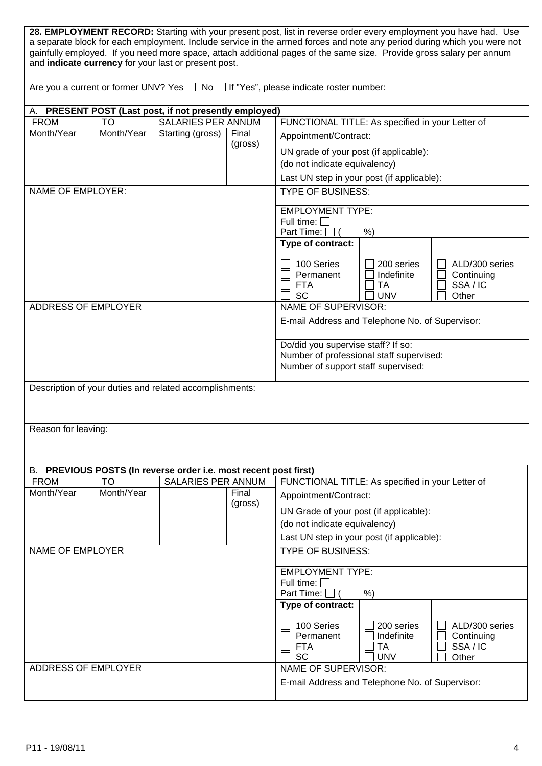| 28. EMPLOYMENT RECORD: Starting with your present post, list in reverse order every employment you have had. Use        |
|-------------------------------------------------------------------------------------------------------------------------|
| a separate block for each employment. Include service in the armed forces and note any period during which you were not |
| gainfully employed. If you need more space, attach additional pages of the same size. Provide gross salary per annum    |
| and <b>indicate currency</b> for your last or present post.                                                             |

| Are you a current or former UNV? Yes $\Box$ No $\Box$ If "Yes", please indicate roster number: |  |
|------------------------------------------------------------------------------------------------|--|
|------------------------------------------------------------------------------------------------|--|

| А.                       |            | PRESENT POST (Last post, if not presently employed)           |         |                                                                        |                                                  |  |
|--------------------------|------------|---------------------------------------------------------------|---------|------------------------------------------------------------------------|--------------------------------------------------|--|
| <b>FROM</b>              | <b>TO</b>  | SALARIES PER ANNUM                                            |         |                                                                        | FUNCTIONAL TITLE: As specified in your Letter of |  |
| Month/Year               | Month/Year | Starting (gross)                                              | Final   | Appointment/Contract:                                                  |                                                  |  |
|                          |            |                                                               | (gross) | UN grade of your post (if applicable):                                 |                                                  |  |
|                          |            |                                                               |         | (do not indicate equivalency)                                          |                                                  |  |
|                          |            |                                                               |         |                                                                        | Last UN step in your post (if applicable):       |  |
| <b>NAME OF EMPLOYER:</b> |            |                                                               |         | <b>TYPE OF BUSINESS:</b>                                               |                                                  |  |
|                          |            |                                                               |         | <b>EMPLOYMENT TYPE:</b>                                                |                                                  |  |
|                          |            |                                                               |         | Full time: $\square$                                                   |                                                  |  |
|                          |            |                                                               |         | Part Time: [                                                           | $%$ )                                            |  |
|                          |            |                                                               |         | Type of contract:                                                      |                                                  |  |
|                          |            |                                                               |         | 100 Series                                                             | 200 series<br>ALD/300 series                     |  |
|                          |            |                                                               |         | Permanent                                                              | Indefinite<br>Continuing                         |  |
|                          |            |                                                               |         | <b>FTA</b>                                                             | SSA/IC<br>TA                                     |  |
|                          |            |                                                               |         | <b>SC</b>                                                              | <b>UNV</b><br>Other                              |  |
| ADDRESS OF EMPLOYER      |            |                                                               |         | NAME OF SUPERVISOR:                                                    |                                                  |  |
|                          |            |                                                               |         |                                                                        | E-mail Address and Telephone No. of Supervisor:  |  |
|                          |            |                                                               |         | Do/did you supervise staff? If so:                                     |                                                  |  |
|                          |            |                                                               |         |                                                                        | Number of professional staff supervised:         |  |
|                          |            |                                                               |         | Number of support staff supervised:                                    |                                                  |  |
|                          |            | Description of your duties and related accomplishments:       |         |                                                                        |                                                  |  |
|                          |            |                                                               |         |                                                                        |                                                  |  |
|                          |            |                                                               |         |                                                                        |                                                  |  |
| Reason for leaving:      |            |                                                               |         |                                                                        |                                                  |  |
|                          |            |                                                               |         |                                                                        |                                                  |  |
|                          |            |                                                               |         |                                                                        |                                                  |  |
| В.                       |            | PREVIOUS POSTS (In reverse order i.e. most recent post first) |         |                                                                        |                                                  |  |
| <b>FROM</b>              | TO         | <b>SALARIES PER ANNUM</b>                                     |         |                                                                        | FUNCTIONAL TITLE: As specified in your Letter of |  |
| Month/Year               | Month/Year |                                                               | Final   | Appointment/Contract:                                                  |                                                  |  |
|                          |            |                                                               | (gross) | UN Grade of your post (if applicable):                                 |                                                  |  |
|                          |            |                                                               |         | (do not indicate equivalency)                                          |                                                  |  |
|                          |            |                                                               |         |                                                                        | Last UN step in your post (if applicable):       |  |
| <b>NAME OF EMPLOYER</b>  |            |                                                               |         | <b>TYPE OF BUSINESS:</b>                                               |                                                  |  |
|                          |            |                                                               |         |                                                                        |                                                  |  |
|                          |            |                                                               |         | <b>EMPLOYMENT TYPE:</b>                                                |                                                  |  |
|                          |            |                                                               |         | Full time: $\Box$                                                      |                                                  |  |
|                          |            |                                                               |         | Part Time:<br>Type of contract:                                        | %                                                |  |
|                          |            |                                                               |         |                                                                        |                                                  |  |
|                          |            |                                                               |         | 100 Series                                                             | 200 series<br>ALD/300 series                     |  |
|                          |            |                                                               |         | Permanent                                                              | Indefinite<br>Continuing                         |  |
|                          |            |                                                               |         | <b>FTA</b>                                                             | <b>TA</b><br>SSA/IC                              |  |
| ADDRESS OF EMPLOYER      |            |                                                               |         | SC                                                                     | <b>UNV</b><br>Other                              |  |
|                          |            |                                                               |         | NAME OF SUPERVISOR:<br>E-mail Address and Telephone No. of Supervisor: |                                                  |  |
|                          |            |                                                               |         |                                                                        |                                                  |  |
|                          |            |                                                               |         |                                                                        |                                                  |  |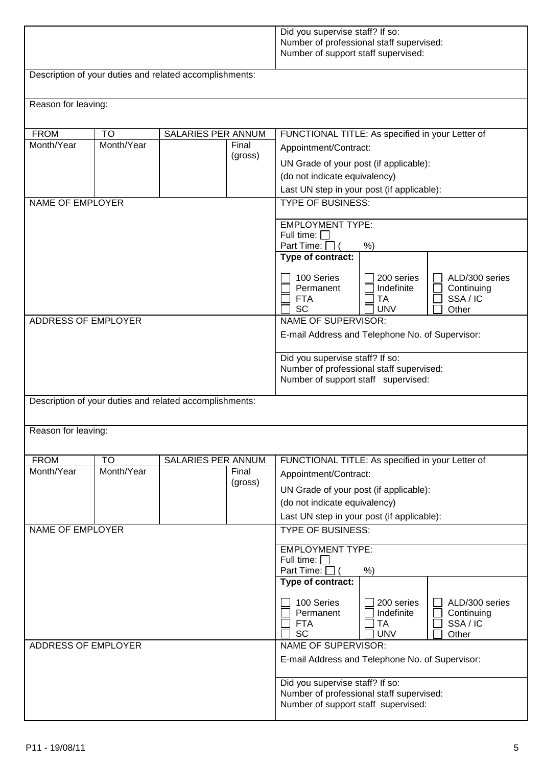|                                                         |                                                                                                                            |                           |                  | Did you supervise staff? If so:<br>Number of professional staff supervised:<br>Number of support staff supervised:                                                                                                                                                                                                                                                                                                                                                                                                                                                            |  |  |  |
|---------------------------------------------------------|----------------------------------------------------------------------------------------------------------------------------|---------------------------|------------------|-------------------------------------------------------------------------------------------------------------------------------------------------------------------------------------------------------------------------------------------------------------------------------------------------------------------------------------------------------------------------------------------------------------------------------------------------------------------------------------------------------------------------------------------------------------------------------|--|--|--|
|                                                         | Description of your duties and related accomplishments:                                                                    |                           |                  |                                                                                                                                                                                                                                                                                                                                                                                                                                                                                                                                                                               |  |  |  |
| Reason for leaving:                                     |                                                                                                                            |                           |                  |                                                                                                                                                                                                                                                                                                                                                                                                                                                                                                                                                                               |  |  |  |
| <b>FROM</b><br>Month/Year                               | SALARIES PER ANNUM<br><b>TO</b><br>Month/Year<br>Final<br>(gross)<br><b>NAME OF EMPLOYER</b><br><b>ADDRESS OF EMPLOYER</b> |                           |                  | FUNCTIONAL TITLE: As specified in your Letter of<br>Appointment/Contract:<br>UN Grade of your post (if applicable):<br>(do not indicate equivalency)<br>Last UN step in your post (if applicable):<br><b>TYPE OF BUSINESS:</b><br><b>EMPLOYMENT TYPE:</b><br>Full time: $\Box$<br>Part Time: $\Box$ (<br>$%$ )<br>Type of contract:<br>100 Series<br>200 series<br>ALD/300 series<br>Permanent<br>Indefinite<br>Continuing<br>SSA/IC<br><b>FTA</b><br>TA<br><b>SC</b><br><b>UNV</b><br>Other<br><b>NAME OF SUPERVISOR:</b><br>E-mail Address and Telephone No. of Supervisor: |  |  |  |
| Description of your duties and related accomplishments: |                                                                                                                            |                           |                  | Did you supervise staff? If so:<br>Number of professional staff supervised:<br>Number of support staff supervised:                                                                                                                                                                                                                                                                                                                                                                                                                                                            |  |  |  |
| Reason for leaving:                                     |                                                                                                                            |                           |                  |                                                                                                                                                                                                                                                                                                                                                                                                                                                                                                                                                                               |  |  |  |
| <b>FROM</b>                                             | TO                                                                                                                         | <b>SALARIES PER ANNUM</b> |                  |                                                                                                                                                                                                                                                                                                                                                                                                                                                                                                                                                                               |  |  |  |
| Month/Year                                              | Month/Year                                                                                                                 |                           | Final<br>(gross) | FUNCTIONAL TITLE: As specified in your Letter of<br>Appointment/Contract:<br>UN Grade of your post (if applicable):<br>(do not indicate equivalency)<br>Last UN step in your post (if applicable):                                                                                                                                                                                                                                                                                                                                                                            |  |  |  |
| <b>NAME OF EMPLOYER</b>                                 |                                                                                                                            |                           |                  | <b>TYPE OF BUSINESS:</b>                                                                                                                                                                                                                                                                                                                                                                                                                                                                                                                                                      |  |  |  |
|                                                         |                                                                                                                            |                           |                  | <b>EMPLOYMENT TYPE:</b><br>Full time: $\Box$<br>Part Time: [<br>$%$ )<br>Type of contract:<br>100 Series<br>200 series<br>ALD/300 series<br>Permanent<br>Indefinite<br>Continuing<br>SSA/IC<br><b>FTA</b><br>ТA<br><b>SC</b><br><b>UNV</b><br>Other                                                                                                                                                                                                                                                                                                                           |  |  |  |
| ADDRESS OF EMPLOYER                                     |                                                                                                                            |                           |                  | NAME OF SUPERVISOR:<br>E-mail Address and Telephone No. of Supervisor:                                                                                                                                                                                                                                                                                                                                                                                                                                                                                                        |  |  |  |
|                                                         |                                                                                                                            |                           |                  | Did you supervise staff? If so:<br>Number of professional staff supervised:<br>Number of support staff supervised:                                                                                                                                                                                                                                                                                                                                                                                                                                                            |  |  |  |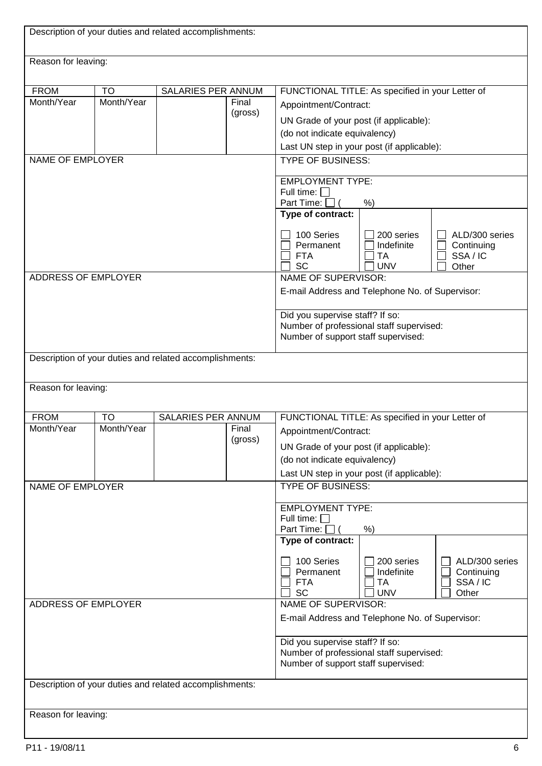| Description of your duties and related accomplishments: |                         |                                                         |                                                                         |                                                                                                                                                                                                    |                                                 |                                                 |  |
|---------------------------------------------------------|-------------------------|---------------------------------------------------------|-------------------------------------------------------------------------|----------------------------------------------------------------------------------------------------------------------------------------------------------------------------------------------------|-------------------------------------------------|-------------------------------------------------|--|
| Reason for leaving:                                     |                         |                                                         |                                                                         |                                                                                                                                                                                                    |                                                 |                                                 |  |
| <b>FROM</b><br>Month/Year                               | <b>TO</b><br>Month/Year | SALARIES PER ANNUM                                      | Final<br>(gross)                                                        | FUNCTIONAL TITLE: As specified in your Letter of<br>Appointment/Contract:<br>UN Grade of your post (if applicable):<br>(do not indicate equivalency)<br>Last UN step in your post (if applicable): |                                                 |                                                 |  |
| NAME OF EMPLOYER                                        |                         |                                                         |                                                                         | <b>TYPE OF BUSINESS:</b>                                                                                                                                                                           |                                                 |                                                 |  |
|                                                         |                         |                                                         |                                                                         | <b>EMPLOYMENT TYPE:</b><br>Full time: $\Box$<br>Part Time: [                                                                                                                                       | $%$ )                                           |                                                 |  |
|                                                         |                         |                                                         | Type of contract:<br>100 Series<br>Permanent<br><b>FTA</b><br><b>SC</b> | 200 series<br>Indefinite<br>TA<br><b>UNV</b>                                                                                                                                                       | ALD/300 series<br>Continuing<br>SSA/IC<br>Other |                                                 |  |
| <b>ADDRESS OF EMPLOYER</b>                              |                         |                                                         |                                                                         | NAME OF SUPERVISOR:<br>E-mail Address and Telephone No. of Supervisor:                                                                                                                             |                                                 |                                                 |  |
|                                                         |                         |                                                         |                                                                         | Did you supervise staff? If so:<br>Number of professional staff supervised:<br>Number of support staff supervised:                                                                                 |                                                 |                                                 |  |
|                                                         |                         | Description of your duties and related accomplishments: |                                                                         |                                                                                                                                                                                                    |                                                 |                                                 |  |
| Reason for leaving:                                     |                         |                                                         |                                                                         |                                                                                                                                                                                                    |                                                 |                                                 |  |
| <b>FROM</b><br>Month/Year                               | TO<br>Month/Year        | SALARIES PER ANNUM                                      | Final<br>(gross)                                                        | FUNCTIONAL TITLE: As specified in your Letter of<br>Appointment/Contract:<br>UN Grade of your post (if applicable):<br>(do not indicate equivalency)<br>Last UN step in your post (if applicable): |                                                 |                                                 |  |
| <b>NAME OF EMPLOYER</b>                                 |                         |                                                         |                                                                         | <b>TYPE OF BUSINESS:</b>                                                                                                                                                                           |                                                 |                                                 |  |
|                                                         |                         |                                                         |                                                                         | <b>EMPLOYMENT TYPE:</b><br>Full time: $\Box$<br>Part Time: [<br>$%$ )                                                                                                                              |                                                 |                                                 |  |
|                                                         |                         |                                                         |                                                                         | Type of contract:<br>100 Series<br>Permanent<br><b>FTA</b><br><b>SC</b>                                                                                                                            | 200 series<br>Indefinite<br>TA<br><b>UNV</b>    | ALD/300 series<br>Continuing<br>SSA/IC<br>Other |  |
| ADDRESS OF EMPLOYER                                     |                         |                                                         | NAME OF SUPERVISOR:<br>E-mail Address and Telephone No. of Supervisor:  |                                                                                                                                                                                                    |                                                 |                                                 |  |
|                                                         |                         |                                                         |                                                                         | Did you supervise staff? If so:<br>Number of professional staff supervised:<br>Number of support staff supervised:                                                                                 |                                                 |                                                 |  |
|                                                         |                         | Description of your duties and related accomplishments: |                                                                         |                                                                                                                                                                                                    |                                                 |                                                 |  |
| Reason for leaving:                                     |                         |                                                         |                                                                         |                                                                                                                                                                                                    |                                                 |                                                 |  |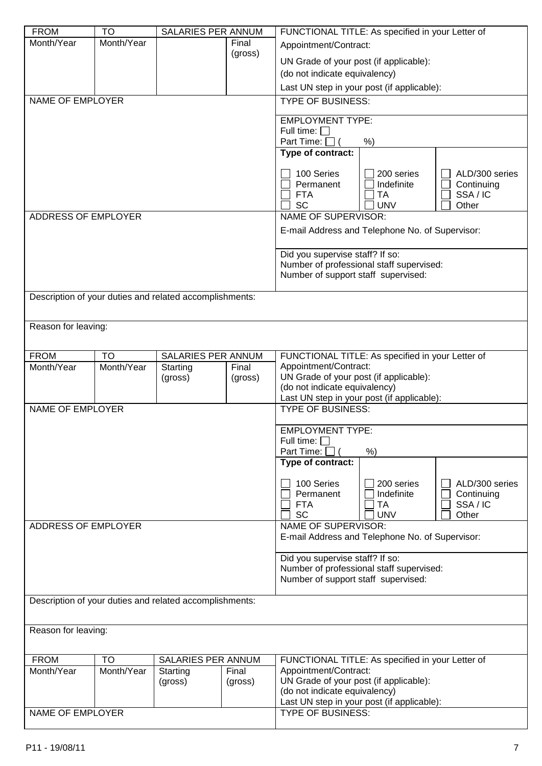| <b>FROM</b>                | <b>TO</b>  | SALARIES PER ANNUM                                      |         | FUNCTIONAL TITLE: As specified in your Letter of                       |            |                |
|----------------------------|------------|---------------------------------------------------------|---------|------------------------------------------------------------------------|------------|----------------|
| Month/Year                 | Month/Year |                                                         | Final   | Appointment/Contract:                                                  |            |                |
|                            |            |                                                         | (gross) | UN Grade of your post (if applicable):                                 |            |                |
|                            |            |                                                         |         | (do not indicate equivalency)                                          |            |                |
|                            |            |                                                         |         | Last UN step in your post (if applicable):                             |            |                |
|                            |            |                                                         |         |                                                                        |            |                |
| <b>NAME OF EMPLOYER</b>    |            |                                                         |         | <b>TYPE OF BUSINESS:</b>                                               |            |                |
|                            |            |                                                         |         | <b>EMPLOYMENT TYPE:</b>                                                |            |                |
|                            |            |                                                         |         | Full time: $\Box$                                                      |            |                |
|                            |            |                                                         |         | Part Time: $\Box$ (                                                    | $%$ )      |                |
|                            |            |                                                         |         | Type of contract:                                                      |            |                |
|                            |            |                                                         |         | 100 Series                                                             | 200 series | ALD/300 series |
|                            |            |                                                         |         | Permanent                                                              | Indefinite | Continuing     |
|                            |            |                                                         |         | <b>FTA</b>                                                             | <b>TA</b>  | SSA/IC         |
|                            |            |                                                         |         | <b>SC</b>                                                              | <b>UNV</b> | Other          |
| ADDRESS OF EMPLOYER        |            |                                                         |         | <b>NAME OF SUPERVISOR:</b>                                             |            |                |
|                            |            |                                                         |         | E-mail Address and Telephone No. of Supervisor:                        |            |                |
|                            |            |                                                         |         | Did you supervise staff? If so:                                        |            |                |
|                            |            |                                                         |         | Number of professional staff supervised:                               |            |                |
|                            |            |                                                         |         | Number of support staff supervised:                                    |            |                |
|                            |            |                                                         |         |                                                                        |            |                |
|                            |            | Description of your duties and related accomplishments: |         |                                                                        |            |                |
|                            |            |                                                         |         |                                                                        |            |                |
| Reason for leaving:        |            |                                                         |         |                                                                        |            |                |
|                            |            |                                                         |         |                                                                        |            |                |
| <b>FROM</b>                | <b>TO</b>  | SALARIES PER ANNUM                                      |         | FUNCTIONAL TITLE: As specified in your Letter of                       |            |                |
| Month/Year                 | Month/Year | Starting                                                | Final   | Appointment/Contract:                                                  |            |                |
|                            |            | (gross)                                                 | (gross) | UN Grade of your post (if applicable):                                 |            |                |
|                            |            |                                                         |         | (do not indicate equivalency)                                          |            |                |
| <b>NAME OF EMPLOYER</b>    |            |                                                         |         | Last UN step in your post (if applicable):<br><b>TYPE OF BUSINESS:</b> |            |                |
|                            |            |                                                         |         |                                                                        |            |                |
|                            |            |                                                         |         | <b>EMPLOYMENT TYPE:</b>                                                |            |                |
|                            |            |                                                         |         | Full time: $\square$                                                   |            |                |
|                            |            |                                                         |         | Part Time: $\Box$ (                                                    | %)         |                |
|                            |            |                                                         |         | Type of contract:                                                      |            |                |
|                            |            |                                                         |         | 100 Series                                                             | 200 series | ALD/300 series |
|                            |            |                                                         |         | Permanent                                                              | Indefinite | Continuing     |
|                            |            |                                                         |         | <b>FTA</b>                                                             | TA         | SSA/IC         |
|                            |            |                                                         |         | <b>SC</b>                                                              | <b>UNV</b> | Other          |
| <b>ADDRESS OF EMPLOYER</b> |            |                                                         |         | <b>NAME OF SUPERVISOR:</b>                                             |            |                |
|                            |            |                                                         |         | E-mail Address and Telephone No. of Supervisor:                        |            |                |
|                            |            |                                                         |         | Did you supervise staff? If so:                                        |            |                |
|                            |            |                                                         |         | Number of professional staff supervised:                               |            |                |
|                            |            |                                                         |         | Number of support staff supervised:                                    |            |                |
|                            |            |                                                         |         |                                                                        |            |                |
|                            |            | Description of your duties and related accomplishments: |         |                                                                        |            |                |
|                            |            |                                                         |         |                                                                        |            |                |
| Reason for leaving:        |            |                                                         |         |                                                                        |            |                |
|                            |            |                                                         |         |                                                                        |            |                |
|                            |            |                                                         |         |                                                                        |            |                |
| <b>FROM</b>                | <b>TO</b>  | SALARIES PER ANNUM                                      |         | FUNCTIONAL TITLE: As specified in your Letter of                       |            |                |
| Month/Year                 | Month/Year | Starting                                                | Final   | Appointment/Contract:                                                  |            |                |
|                            |            | (gross)                                                 | (gross) | UN Grade of your post (if applicable):                                 |            |                |
|                            |            |                                                         |         | (do not indicate equivalency)                                          |            |                |
| <b>NAME OF EMPLOYER</b>    |            |                                                         |         | Last UN step in your post (if applicable):<br><b>TYPE OF BUSINESS:</b> |            |                |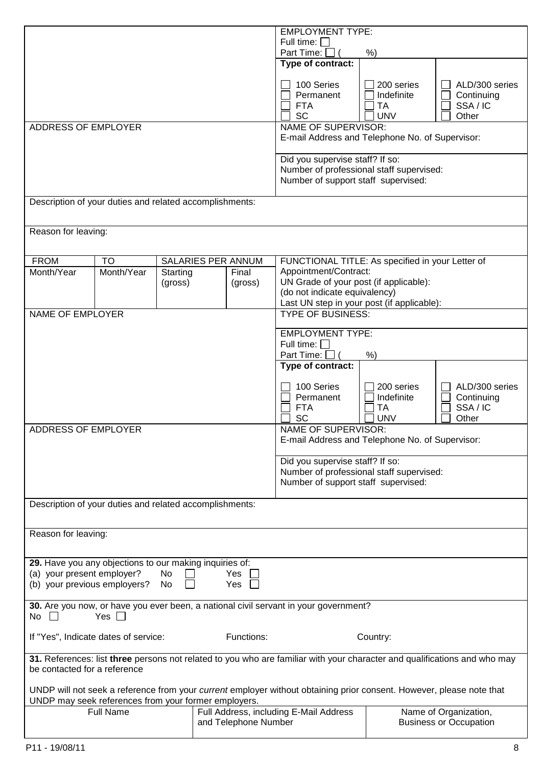|                                                                                                                                                 |                                                       |  |                                                         | <b>EMPLOYMENT TYPE:</b>                                                                                                                        |                                                     |                                                        |  |
|-------------------------------------------------------------------------------------------------------------------------------------------------|-------------------------------------------------------|--|---------------------------------------------------------|------------------------------------------------------------------------------------------------------------------------------------------------|-----------------------------------------------------|--------------------------------------------------------|--|
|                                                                                                                                                 |                                                       |  |                                                         | Full time: $\square$<br>Part Time: [                                                                                                           | $%$ )                                               |                                                        |  |
|                                                                                                                                                 |                                                       |  |                                                         | Type of contract:                                                                                                                              |                                                     |                                                        |  |
|                                                                                                                                                 |                                                       |  |                                                         | 100 Series<br>Permanent<br><b>FTA</b><br><b>SC</b>                                                                                             | 200 series<br>Indefinite<br><b>TA</b><br><b>UNV</b> | ALD/300 series<br>Continuing<br>SSA/IC<br>Other        |  |
| ADDRESS OF EMPLOYER                                                                                                                             |                                                       |  |                                                         | <b>NAME OF SUPERVISOR:</b><br>E-mail Address and Telephone No. of Supervisor:                                                                  |                                                     |                                                        |  |
|                                                                                                                                                 |                                                       |  |                                                         | Did you supervise staff? If so:<br>Number of professional staff supervised:<br>Number of support staff supervised:                             |                                                     |                                                        |  |
|                                                                                                                                                 |                                                       |  | Description of your duties and related accomplishments: |                                                                                                                                                |                                                     |                                                        |  |
| Reason for leaving:                                                                                                                             |                                                       |  |                                                         |                                                                                                                                                |                                                     |                                                        |  |
| <b>FROM</b>                                                                                                                                     | <b>TO</b>                                             |  | SALARIES PER ANNUM                                      | FUNCTIONAL TITLE: As specified in your Letter of                                                                                               |                                                     |                                                        |  |
| Month/Year                                                                                                                                      | Month/Year<br>Starting<br>Final<br>(gross)<br>(gross) |  |                                                         | Appointment/Contract:<br>UN Grade of your post (if applicable):<br>(do not indicate equivalency)<br>Last UN step in your post (if applicable): |                                                     |                                                        |  |
| <b>NAME OF EMPLOYER</b>                                                                                                                         |                                                       |  |                                                         | <b>TYPE OF BUSINESS:</b>                                                                                                                       |                                                     |                                                        |  |
|                                                                                                                                                 |                                                       |  |                                                         | <b>EMPLOYMENT TYPE:</b><br>Full time: $\square$<br>Part Time: [                                                                                | $%$ )                                               |                                                        |  |
|                                                                                                                                                 |                                                       |  |                                                         | Type of contract:                                                                                                                              |                                                     |                                                        |  |
|                                                                                                                                                 |                                                       |  |                                                         | 100 Series<br>Permanent<br><b>FTA</b><br><b>SC</b>                                                                                             | 200 series<br>Indefinite<br>TA<br><b>UNV</b>        | ALD/300 series<br>Continuing<br>SSA/IC<br>Other        |  |
| ADDRESS OF EMPLOYER                                                                                                                             |                                                       |  |                                                         | NAME OF SUPERVISOR:<br>E-mail Address and Telephone No. of Supervisor:                                                                         |                                                     |                                                        |  |
|                                                                                                                                                 |                                                       |  |                                                         | Did you supervise staff? If so:<br>Number of professional staff supervised:<br>Number of support staff supervised:                             |                                                     |                                                        |  |
|                                                                                                                                                 |                                                       |  | Description of your duties and related accomplishments: |                                                                                                                                                |                                                     |                                                        |  |
| Reason for leaving:                                                                                                                             |                                                       |  |                                                         |                                                                                                                                                |                                                     |                                                        |  |
| 29. Have you any objections to our making inquiries of:<br>(a) your present employer?<br>Yes<br>No<br>(b) your previous employers?<br>No<br>Yes |                                                       |  |                                                         |                                                                                                                                                |                                                     |                                                        |  |
| No                                                                                                                                              | Yes $\Box$                                            |  |                                                         | 30. Are you now, or have you ever been, a national civil servant in your government?                                                           |                                                     |                                                        |  |
| If "Yes", Indicate dates of service:                                                                                                            |                                                       |  | Functions:                                              | Country:                                                                                                                                       |                                                     |                                                        |  |
| be contacted for a reference                                                                                                                    |                                                       |  |                                                         | 31. References: list three persons not related to you who are familiar with your character and qualifications and who may                      |                                                     |                                                        |  |
|                                                                                                                                                 |                                                       |  | UNDP may seek references from your former employers.    | UNDP will not seek a reference from your current employer without obtaining prior consent. However, please note that                           |                                                     |                                                        |  |
|                                                                                                                                                 | <b>Full Name</b>                                      |  | and Telephone Number                                    | Full Address, including E-Mail Address                                                                                                         |                                                     | Name of Organization,<br><b>Business or Occupation</b> |  |